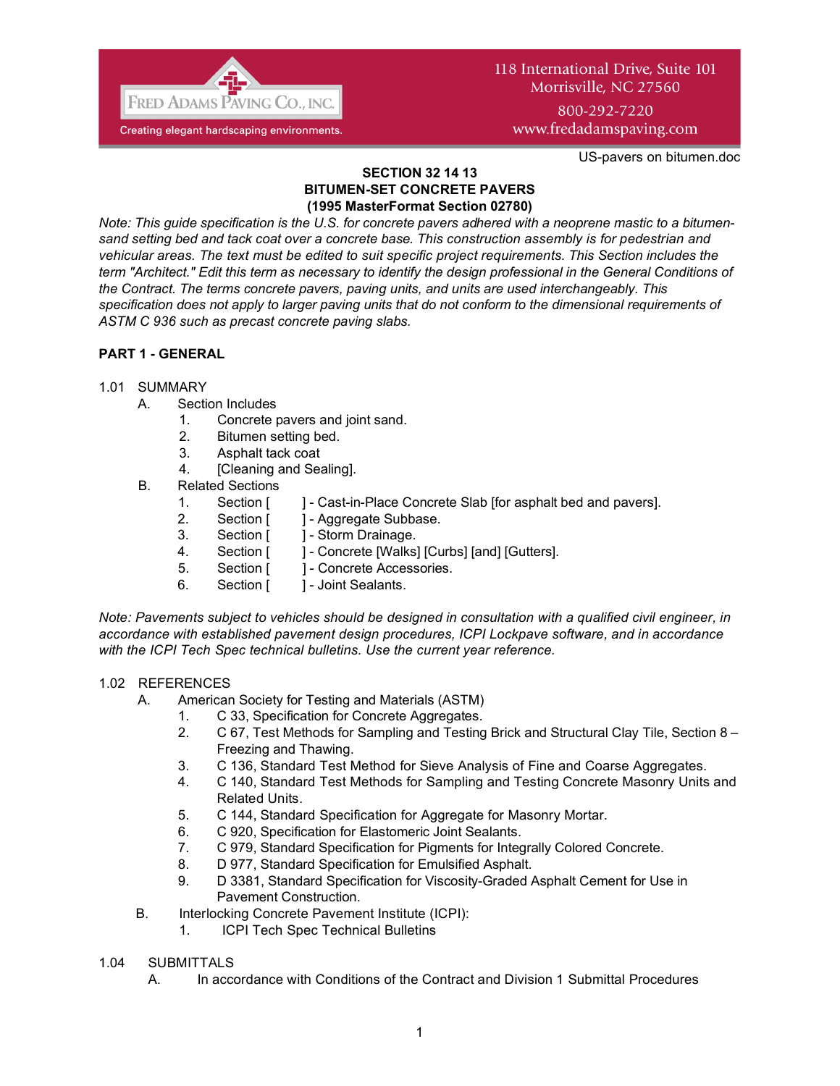

# 118 International Drive, Suite 101 Morrisville, NC 27560

800-292-7220 www.fredadamspaving.com

US-pavers on bitumen.doc

#### **SECTION 32 14 13 BITUMEN-SET CONCRETE PAVERS (1995 MasterFormat Section 02780)**

*Note: This guide specification is the U.S. for concrete pavers adhered with a neoprene mastic to a bitumensand setting bed and tack coat over a concrete base. This construction assembly is for pedestrian and vehicular areas. The text must be edited to suit specific project requirements. This Section includes the term "Architect." Edit this term as necessary to identify the design professional in the General Conditions of the Contract. The terms concrete pavers, paving units, and units are used interchangeably. This specification does not apply to larger paving units that do not conform to the dimensional requirements of ASTM C 936 such as precast concrete paving slabs.*

# **PART 1 - GENERAL**

# 1.01 SUMMARY

- A. Section Includes
	- 1. Concrete pavers and joint sand.
	- 2. Bitumen setting bed.
	- 3. Asphalt tack coat
	- 4. [Cleaning and Sealing].
- B. Related Sections
	- 1. Section [ ] Cast-in-Place Concrete Slab [for asphalt bed and pavers].
	- 2. Section [ ] Aggregate Subbase.
	- 3. Section [ ] Storm Drainage.
	- 4. Section [ ] Concrete [Walks] [Curbs] [and] [Gutters].
	- 5. Section [ ] Concrete Accessories.
	- 6. Section [ ] Joint Sealants.

*Note: Pavements subject to vehicles should be designed in consultation with a qualified civil engineer, in accordance with established pavement design procedures, ICPI Lockpave software, and in accordance with the ICPI Tech Spec technical bulletins. Use the current year reference.* 

#### 1.02 REFERENCES

- A. American Society for Testing and Materials (ASTM)
	- 1. C 33, Specification for Concrete Aggregates.
	- 2. C 67, Test Methods for Sampling and Testing Brick and Structural Clay Tile, Section 8 Freezing and Thawing.
	- 3. C 136, Standard Test Method for Sieve Analysis of Fine and Coarse Aggregates.
	- 4. C 140, Standard Test Methods for Sampling and Testing Concrete Masonry Units and Related Units.
	- 5. C 144, Standard Specification for Aggregate for Masonry Mortar.
	- 6. C 920, Specification for Elastomeric Joint Sealants.
	- 7. C 979, Standard Specification for Pigments for Integrally Colored Concrete.
	- 8. D 977, Standard Specification for Emulsified Asphalt.
	- 9. D 3381, Standard Specification for Viscosity-Graded Asphalt Cement for Use in Pavement Construction.
- B. Interlocking Concrete Pavement Institute (ICPI):
	- 1. ICPI Tech Spec Technical Bulletins

#### 1.04 SUBMITTALS

A. In accordance with Conditions of the Contract and Division 1 Submittal Procedures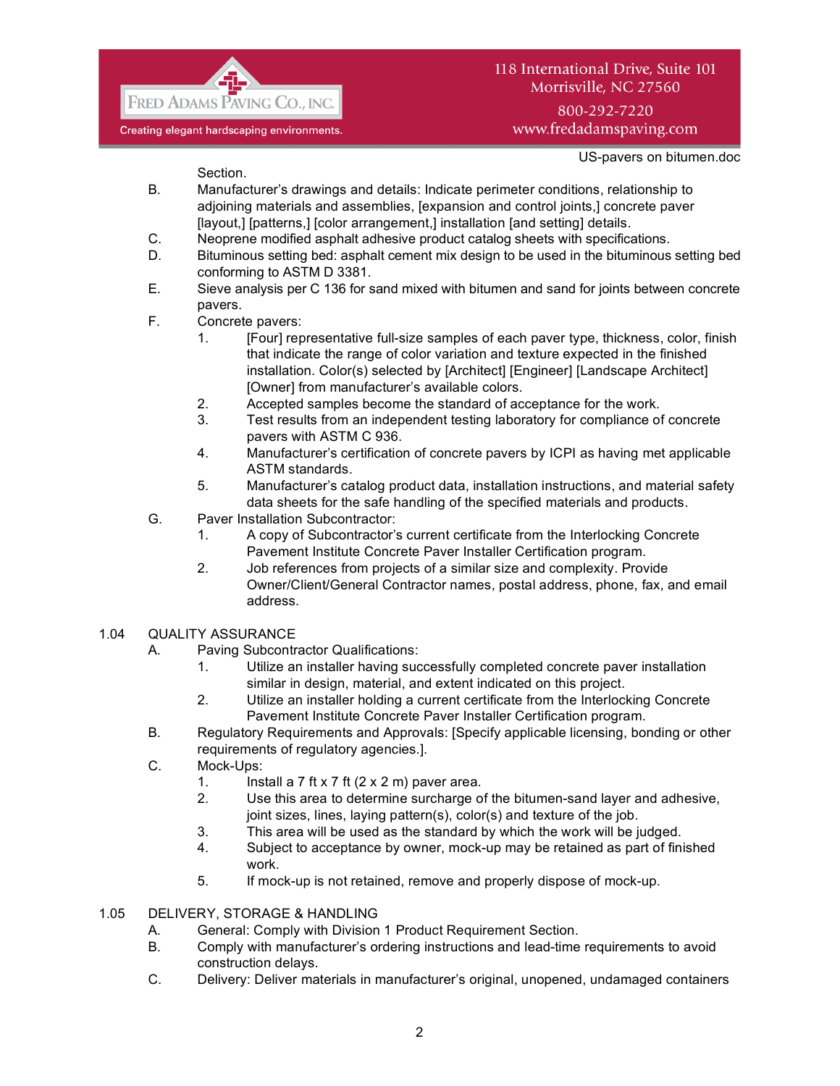

# 118 International Drive, Suite 101 Morrisville, NC 27560

800-292-7220 www.fredadamspaving.com

US-pavers on bitumen.doc

Section.

- B. Manufacturer's drawings and details: Indicate perimeter conditions, relationship to adjoining materials and assemblies, [expansion and control joints,] concrete paver [layout,] [patterns,] [color arrangement,] installation [and setting] details.
- C. Neoprene modified asphalt adhesive product catalog sheets with specifications.
- D. Bituminous setting bed: asphalt cement mix design to be used in the bituminous setting bed conforming to ASTM D 3381.
- E. Sieve analysis per C 136 for sand mixed with bitumen and sand for joints between concrete pavers.
- F. Concrete pavers:
	- 1. [Four] representative full-size samples of each paver type, thickness, color, finish that indicate the range of color variation and texture expected in the finished installation. Color(s) selected by [Architect] [Engineer] [Landscape Architect] [Owner] from manufacturer's available colors.
	- 2. Accepted samples become the standard of acceptance for the work.
	- 3. Test results from an independent testing laboratory for compliance of concrete pavers with ASTM C 936.
	- 4. Manufacturer's certification of concrete pavers by ICPI as having met applicable ASTM standards.
	- 5. Manufacturer's catalog product data, installation instructions, and material safety data sheets for the safe handling of the specified materials and products.
- G. Paver Installation Subcontractor:
	- 1. A copy of Subcontractor's current certificate from the Interlocking Concrete Pavement Institute Concrete Paver Installer Certification program.
	- 2. Job references from projects of a similar size and complexity. Provide Owner/Client/General Contractor names, postal address, phone, fax, and email address.

# 1.04 QUALITY ASSURANCE

- A. Paving Subcontractor Qualifications:
	- 1. Utilize an installer having successfully completed concrete paver installation similar in design, material, and extent indicated on this project.
	- 2. Utilize an installer holding a current certificate from the Interlocking Concrete Pavement Institute Concrete Paver Installer Certification program.
- B. Regulatory Requirements and Approvals: [Specify applicable licensing, bonding or other requirements of regulatory agencies.].
- C. Mock-Ups:
	- 1. Install a  $7$  ft  $\times$  7 ft  $(2 \times 2 \text{ m})$  paver area.
	- 2. Use this area to determine surcharge of the bitumen-sand layer and adhesive, joint sizes, lines, laying pattern(s), color(s) and texture of the job.
	- 3. This area will be used as the standard by which the work will be judged.
	- 4. Subject to acceptance by owner, mock-up may be retained as part of finished work.
	- 5. If mock-up is not retained, remove and properly dispose of mock-up.
- 1.05 DELIVERY, STORAGE & HANDLING
	- A. General: Comply with Division 1 Product Requirement Section.
	- B. Comply with manufacturer's ordering instructions and lead-time requirements to avoid construction delays.
	- C. Delivery: Deliver materials in manufacturer's original, unopened, undamaged containers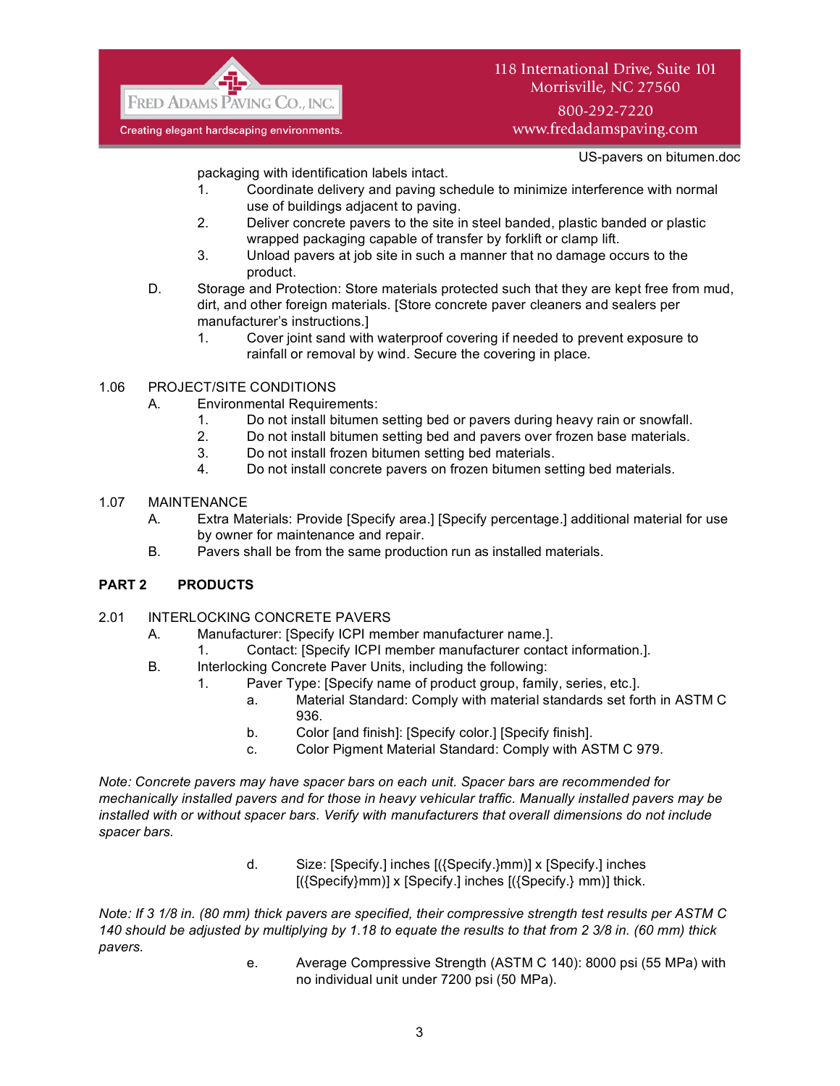

# 118 International Drive, Suite 101 Morrisville, NC 27560

800-292-7220 www.fredadamspaving.com

US-pavers on bitumen.doc

packaging with identification labels intact.

- 1. Coordinate delivery and paving schedule to minimize interference with normal use of buildings adjacent to paving.
- 2. Deliver concrete pavers to the site in steel banded, plastic banded or plastic wrapped packaging capable of transfer by forklift or clamp lift.
- 3. Unload pavers at job site in such a manner that no damage occurs to the product.
- D. Storage and Protection: Store materials protected such that they are kept free from mud, dirt, and other foreign materials. [Store concrete paver cleaners and sealers per manufacturer's instructions.]
	- 1. Cover joint sand with waterproof covering if needed to prevent exposure to rainfall or removal by wind. Secure the covering in place.

# 1.06 PROJECT/SITE CONDITIONS

- A. Environmental Requirements:
	- 1. Do not install bitumen setting bed or pavers during heavy rain or snowfall.
	- 2. Do not install bitumen setting bed and pavers over frozen base materials.
	- 3. Do not install frozen bitumen setting bed materials.
	- 4. Do not install concrete pavers on frozen bitumen setting bed materials.

# 1.07 MAINTENANCE

- A. Extra Materials: Provide [Specify area.] [Specify percentage.] additional material for use by owner for maintenance and repair.
- B. Pavers shall be from the same production run as installed materials.

# **PART 2 PRODUCTS**

- 2.01 INTERLOCKING CONCRETE PAVERS
	- A. Manufacturer: [Specify ICPI member manufacturer name.].
		- 1. Contact: [Specify ICPI member manufacturer contact information.].
	- B. Interlocking Concrete Paver Units, including the following:
		- 1. Paver Type: [Specify name of product group, family, series, etc.].
			- a. Material Standard: Comply with material standards set forth in ASTM C 936.
			- b. Color [and finish]: [Specify color.] [Specify finish].
			- c. Color Pigment Material Standard: Comply with ASTM C 979.

*Note: Concrete pavers may have spacer bars on each unit. Spacer bars are recommended for mechanically installed pavers and for those in heavy vehicular traffic. Manually installed pavers may be installed with or without spacer bars. Verify with manufacturers that overall dimensions do not include spacer bars.*

> d. Size: [Specify.] inches [({Specify.}mm)] x [Specify.] inches [({Specify}mm)] x [Specify.] inches [({Specify.} mm)] thick.

*Note: If 3 1/8 in. (80 mm) thick pavers are specified, their compressive strength test results per ASTM C 140 should be adjusted by multiplying by 1.18 to equate the results to that from 2 3/8 in. (60 mm) thick pavers.*

e. Average Compressive Strength (ASTM C 140): 8000 psi (55 MPa) with no individual unit under 7200 psi (50 MPa).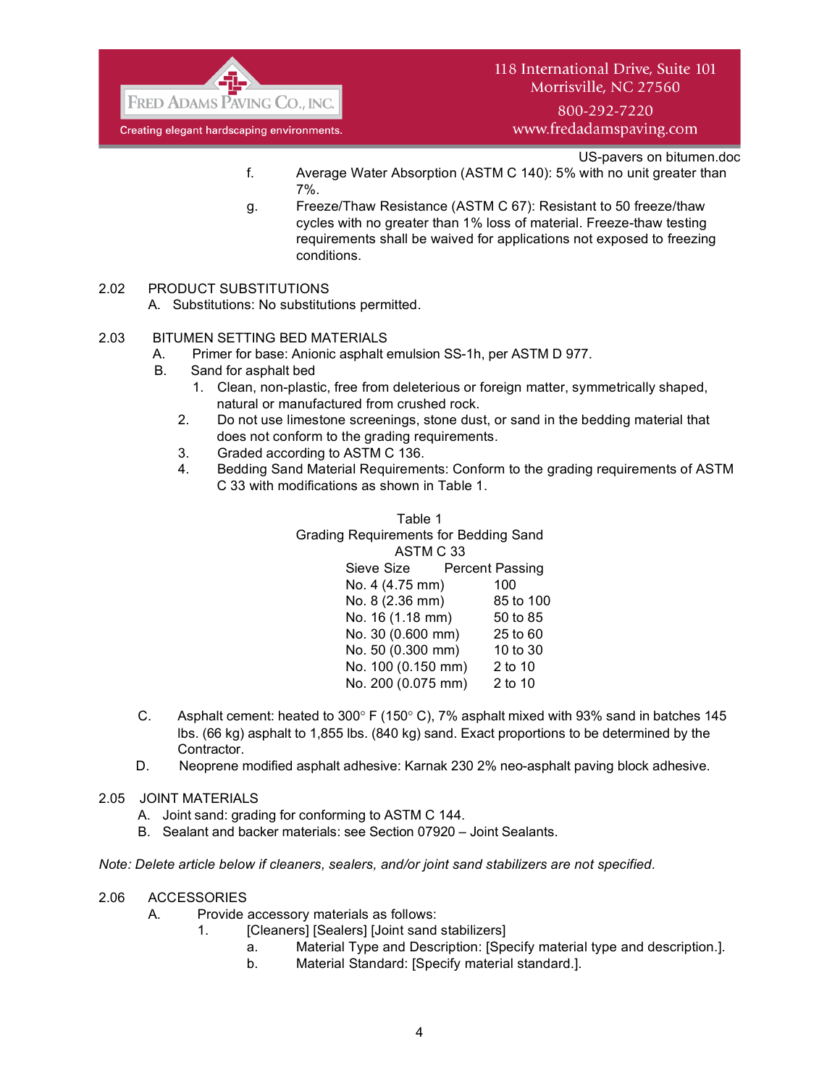

800-292-7220 www.fredadamspaving.com

US-pavers on bitumen.doc

- f. Average Water Absorption (ASTM C 140): 5% with no unit greater than 7%.
- g. Freeze/Thaw Resistance (ASTM C 67): Resistant to 50 freeze/thaw cycles with no greater than 1% loss of material. Freeze-thaw testing requirements shall be waived for applications not exposed to freezing conditions.

# 2.02 PRODUCT SUBSTITUTIONS

A. Substitutions: No substitutions permitted.

#### 2.03 BITUMEN SETTING BED MATERIALS

- A. Primer for base: Anionic asphalt emulsion SS-1h, per ASTM D 977.
- B. Sand for asphalt bed
	- 1. Clean, non-plastic, free from deleterious or foreign matter, symmetrically shaped, natural or manufactured from crushed rock.
	- 2. Do not use limestone screenings, stone dust, or sand in the bedding material that does not conform to the grading requirements.
	- 3. Graded according to ASTM C 136.
	- 4. Bedding Sand Material Requirements: Conform to the grading requirements of ASTM C 33 with modifications as shown in Table 1.

Table 1 Grading Requirements for Bedding Sand ASTM C 33 Sieve Size Percent Passing No. 4 (4.75 mm) 100 No. 8 (2.36 mm) 85 to 100 No. 16 (1.18 mm) 50 to 85 No. 30 (0.600 mm) 25 to 60 No. 50 (0.300 mm) 10 to 30 No. 100 (0.150 mm) 2 to 10 No. 200 (0.075 mm) 2 to 10

- C. Asphalt cement: heated to  $300^{\circ}$  F (150 $^{\circ}$  C), 7% asphalt mixed with 93% sand in batches 145 lbs. (66 kg) asphalt to 1,855 lbs. (840 kg) sand. Exact proportions to be determined by the Contractor.
- D. Neoprene modified asphalt adhesive: Karnak 230 2% neo-asphalt paving block adhesive.
- 2.05 JOINT MATERIALS
	- A. Joint sand: grading for conforming to ASTM C 144.
	- B. Sealant and backer materials: see Section 07920 Joint Sealants.

*Note: Delete article below if cleaners, sealers, and/or joint sand stabilizers are not specified.*

#### 2.06 ACCESSORIES

- A. Provide accessory materials as follows:
	- 1. **ICleaners** [Sealers] [Joint sand stabilizers]
		- a. Material Type and Description: [Specify material type and description.].
		- b. Material Standard: [Specify material standard.].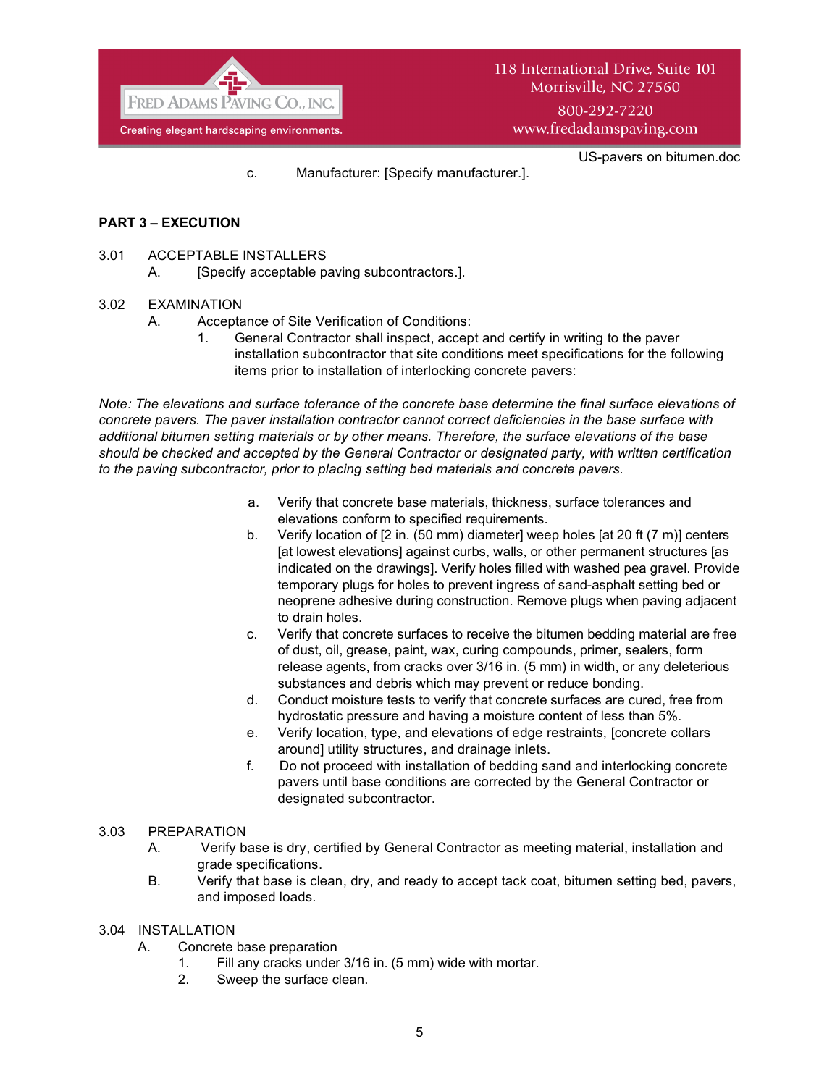

c. Manufacturer: [Specify manufacturer.].

US-pavers on bitumen.doc

#### **PART 3 – EXECUTION**

- 3.01 ACCEPTABLE INSTALLERS
	- A. [Specify acceptable paving subcontractors.].

#### 3.02 EXAMINATION

- A. Acceptance of Site Verification of Conditions:
	- 1. General Contractor shall inspect, accept and certify in writing to the paver installation subcontractor that site conditions meet specifications for the following items prior to installation of interlocking concrete pavers:

*Note: The elevations and surface tolerance of the concrete base determine the final surface elevations of concrete pavers. The paver installation contractor cannot correct deficiencies in the base surface with additional bitumen setting materials or by other means. Therefore, the surface elevations of the base should be checked and accepted by the General Contractor or designated party, with written certification to the paving subcontractor, prior to placing setting bed materials and concrete pavers.*

- a. Verify that concrete base materials, thickness, surface tolerances and elevations conform to specified requirements.
- b. Verify location of [2 in. (50 mm) diameter] weep holes [at 20 ft (7 m)] centers [at lowest elevations] against curbs, walls, or other permanent structures [as indicated on the drawings]. Verify holes filled with washed pea gravel. Provide temporary plugs for holes to prevent ingress of sand-asphalt setting bed or neoprene adhesive during construction. Remove plugs when paving adjacent to drain holes.
- c. Verify that concrete surfaces to receive the bitumen bedding material are free of dust, oil, grease, paint, wax, curing compounds, primer, sealers, form release agents, from cracks over 3/16 in. (5 mm) in width, or any deleterious substances and debris which may prevent or reduce bonding.
- d. Conduct moisture tests to verify that concrete surfaces are cured, free from hydrostatic pressure and having a moisture content of less than 5%.
- e. Verify location, type, and elevations of edge restraints, [concrete collars around] utility structures, and drainage inlets.
- f. Do not proceed with installation of bedding sand and interlocking concrete pavers until base conditions are corrected by the General Contractor or designated subcontractor.

#### 3.03 PREPARATION

- A. Verify base is dry, certified by General Contractor as meeting material, installation and grade specifications.
- B. Verify that base is clean, dry, and ready to accept tack coat, bitumen setting bed, pavers, and imposed loads.

#### 3.04 INSTALLATION

- A. Concrete base preparation
	- 1. Fill any cracks under 3/16 in. (5 mm) wide with mortar.
	- 2. Sweep the surface clean.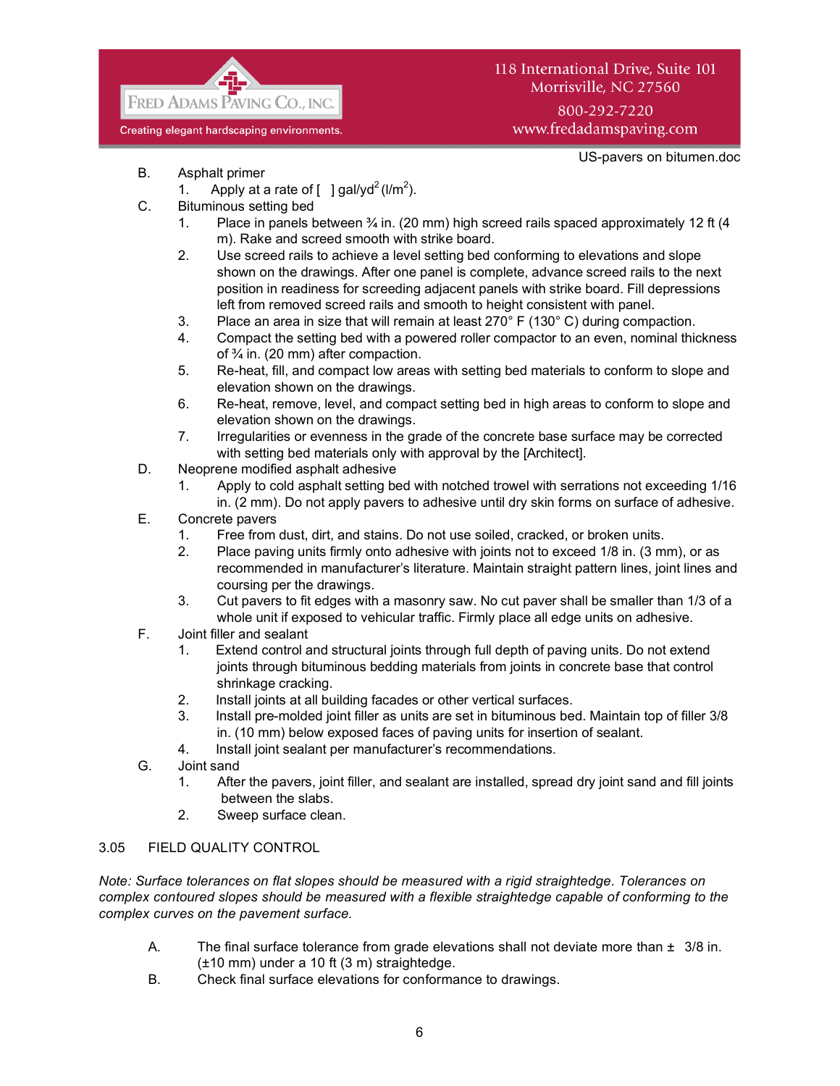

# 118 International Drive, Suite 101 Morrisville, NC 27560 800-292-7220 www.fredadamspaving.com

US-pavers on bitumen.doc

- B. Asphalt primer
	- 1. Apply at a rate of  $\left[\right]$  gal/yd<sup>2</sup> (l/m<sup>2</sup>).
- C. Bituminous setting bed
	- 1. Place in panels between  $\frac{3}{4}$  in. (20 mm) high screed rails spaced approximately 12 ft (4 m). Rake and screed smooth with strike board.
	- 2. Use screed rails to achieve a level setting bed conforming to elevations and slope shown on the drawings. After one panel is complete, advance screed rails to the next position in readiness for screeding adjacent panels with strike board. Fill depressions left from removed screed rails and smooth to height consistent with panel.
	- 3. Place an area in size that will remain at least  $270^{\circ}$  F (130° C) during compaction.
	- 4. Compact the setting bed with a powered roller compactor to an even, nominal thickness of ¾ in. (20 mm) after compaction.
	- 5. Re-heat, fill, and compact low areas with setting bed materials to conform to slope and elevation shown on the drawings.
	- 6. Re-heat, remove, level, and compact setting bed in high areas to conform to slope and elevation shown on the drawings.
	- 7. Irregularities or evenness in the grade of the concrete base surface may be corrected with setting bed materials only with approval by the [Architect].
- D. Neoprene modified asphalt adhesive
	- 1. Apply to cold asphalt setting bed with notched trowel with serrations not exceeding 1/16 in. (2 mm). Do not apply pavers to adhesive until dry skin forms on surface of adhesive.
- E. Concrete pavers
	- 1. Free from dust, dirt, and stains. Do not use soiled, cracked, or broken units.
	- 2. Place paving units firmly onto adhesive with joints not to exceed 1/8 in. (3 mm), or as recommended in manufacturer's literature. Maintain straight pattern lines, joint lines and coursing per the drawings.
	- 3. Cut pavers to fit edges with a masonry saw. No cut paver shall be smaller than 1/3 of a whole unit if exposed to vehicular traffic. Firmly place all edge units on adhesive.
- F. Joint filler and sealant
	- 1. Extend control and structural joints through full depth of paving units. Do not extend joints through bituminous bedding materials from joints in concrete base that control shrinkage cracking.
	- 2. Install joints at all building facades or other vertical surfaces.
	- 3. Install pre-molded joint filler as units are set in bituminous bed. Maintain top of filler 3/8 in. (10 mm) below exposed faces of paving units for insertion of sealant.
	- 4. Install joint sealant per manufacturer's recommendations.
- G. Joint sand
	- 1. After the pavers, joint filler, and sealant are installed, spread dry joint sand and fill joints between the slabs.
	- 2. Sweep surface clean.

# 3.05 FIELD QUALITY CONTROL

*Note: Surface tolerances on flat slopes should be measured with a rigid straightedge. Tolerances on complex contoured slopes should be measured with a flexible straightedge capable of conforming to the complex curves on the pavement surface.*

- A. The final surface tolerance from grade elevations shall not deviate more than  $\pm 3/8$  in. (±10 mm) under a 10 ft (3 m) straightedge.
- B. Check final surface elevations for conformance to drawings.